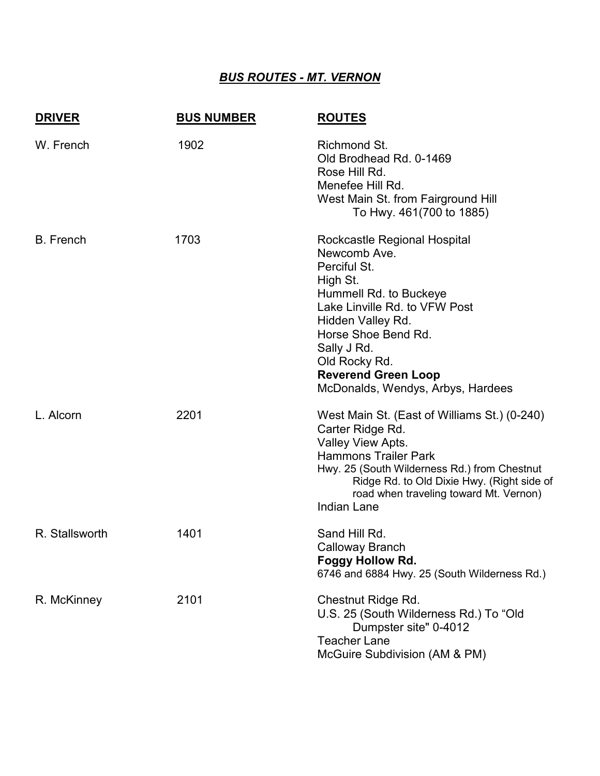## *BUS ROUTES - MT. VERNON*

| <b>DRIVER</b>    | <b>BUS NUMBER</b> | <b>ROUTES</b>                                                                                                                                                                                                                                                                      |
|------------------|-------------------|------------------------------------------------------------------------------------------------------------------------------------------------------------------------------------------------------------------------------------------------------------------------------------|
| W. French        | 1902              | Richmond St.<br>Old Brodhead Rd. 0-1469<br>Rose Hill Rd.<br>Menefee Hill Rd.<br>West Main St. from Fairground Hill<br>To Hwy. 461(700 to 1885)                                                                                                                                     |
| <b>B.</b> French | 1703              | Rockcastle Regional Hospital<br>Newcomb Ave.<br>Perciful St.<br>High St.<br>Hummell Rd. to Buckeye<br>Lake Linville Rd. to VFW Post<br>Hidden Valley Rd.<br>Horse Shoe Bend Rd.<br>Sally J Rd.<br>Old Rocky Rd.<br><b>Reverend Green Loop</b><br>McDonalds, Wendys, Arbys, Hardees |
| L. Alcorn        | 2201              | West Main St. (East of Williams St.) (0-240)<br>Carter Ridge Rd.<br>Valley View Apts.<br><b>Hammons Trailer Park</b><br>Hwy. 25 (South Wilderness Rd.) from Chestnut<br>Ridge Rd. to Old Dixie Hwy. (Right side of<br>road when traveling toward Mt. Vernon)<br><b>Indian Lane</b> |
| R. Stallsworth   | 1401              | Sand Hill Rd.<br>Calloway Branch<br>Foggy Hollow Rd.<br>6746 and 6884 Hwy. 25 (South Wilderness Rd.)                                                                                                                                                                               |
| R. McKinney      | 2101              | <b>Chestnut Ridge Rd.</b><br>U.S. 25 (South Wilderness Rd.) To "Old<br>Dumpster site" 0-4012<br><b>Teacher Lane</b><br>McGuire Subdivision (AM & PM)                                                                                                                               |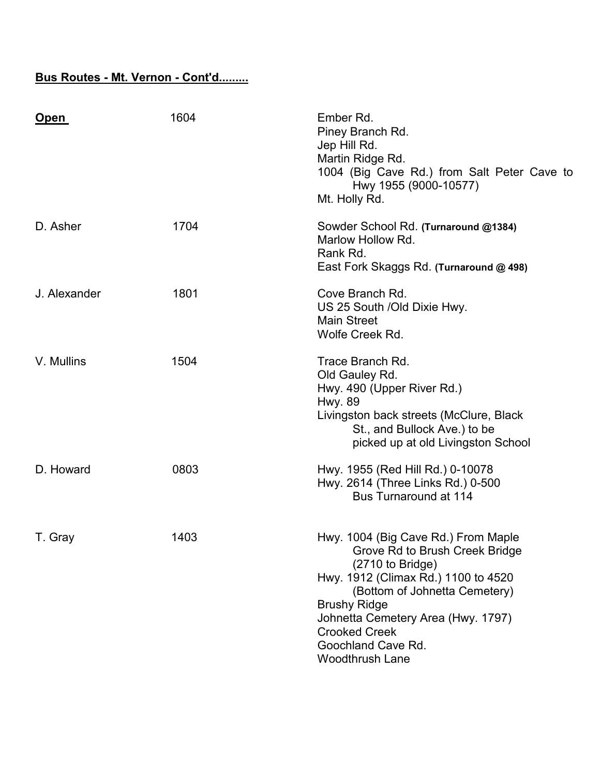## **Bus Routes - Mt. Vernon - Cont'd.........**

| <u>Open</u>  | 1604 | Ember Rd.<br>Piney Branch Rd.<br>Jep Hill Rd.<br>Martin Ridge Rd.<br>1004 (Big Cave Rd.) from Salt Peter Cave to<br>Hwy 1955 (9000-10577)<br>Mt. Holly Rd.                                                                                                                                             |
|--------------|------|--------------------------------------------------------------------------------------------------------------------------------------------------------------------------------------------------------------------------------------------------------------------------------------------------------|
| D. Asher     | 1704 | Sowder School Rd. (Turnaround @1384)<br>Marlow Hollow Rd.<br>Rank Rd.<br>East Fork Skaggs Rd. (Turnaround @ 498)                                                                                                                                                                                       |
| J. Alexander | 1801 | Cove Branch Rd.<br>US 25 South / Old Dixie Hwy.<br><b>Main Street</b><br>Wolfe Creek Rd.                                                                                                                                                                                                               |
| V. Mullins   | 1504 | Trace Branch Rd.<br>Old Gauley Rd.<br>Hwy. 490 (Upper River Rd.)<br><b>Hwy. 89</b><br>Livingston back streets (McClure, Black<br>St., and Bullock Ave.) to be<br>picked up at old Livingston School                                                                                                    |
| D. Howard    | 0803 | Hwy. 1955 (Red Hill Rd.) 0-10078<br>Hwy. 2614 (Three Links Rd.) 0-500<br><b>Bus Turnaround at 114</b>                                                                                                                                                                                                  |
| T. Gray      | 1403 | Hwy. 1004 (Big Cave Rd.) From Maple<br>Grove Rd to Brush Creek Bridge<br>(2710 to Bridge)<br>Hwy. 1912 (Climax Rd.) 1100 to 4520<br>(Bottom of Johnetta Cemetery)<br><b>Brushy Ridge</b><br>Johnetta Cemetery Area (Hwy. 1797)<br><b>Crooked Creek</b><br>Goochland Cave Rd.<br><b>Woodthrush Lane</b> |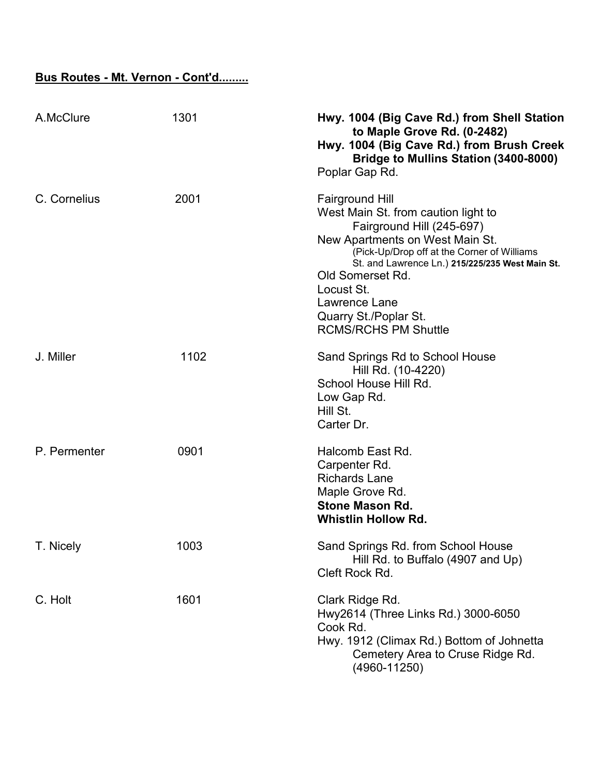## **Bus Routes - Mt. Vernon - Cont'd.........**

| A.McClure    | 1301 | Hwy. 1004 (Big Cave Rd.) from Shell Station<br>to Maple Grove Rd. (0-2482)<br>Hwy. 1004 (Big Cave Rd.) from Brush Creek<br>Bridge to Mullins Station (3400-8000)<br>Poplar Gap Rd.                                                                                                                                                         |
|--------------|------|--------------------------------------------------------------------------------------------------------------------------------------------------------------------------------------------------------------------------------------------------------------------------------------------------------------------------------------------|
| C. Cornelius | 2001 | <b>Fairground Hill</b><br>West Main St. from caution light to<br>Fairground Hill (245-697)<br>New Apartments on West Main St.<br>(Pick-Up/Drop off at the Corner of Williams<br>St. and Lawrence Ln.) 215/225/235 West Main St.<br>Old Somerset Rd.<br>Locust St.<br>Lawrence Lane<br>Quarry St./Poplar St.<br><b>RCMS/RCHS PM Shuttle</b> |
| J. Miller    | 1102 | Sand Springs Rd to School House<br>Hill Rd. (10-4220)<br>School House Hill Rd.<br>Low Gap Rd.<br>Hill St.<br>Carter Dr.                                                                                                                                                                                                                    |
| P. Permenter | 0901 | Halcomb East Rd.<br>Carpenter Rd.<br><b>Richards Lane</b><br>Maple Grove Rd.<br><b>Stone Mason Rd.</b><br><b>Whistlin Hollow Rd.</b>                                                                                                                                                                                                       |
| T. Nicely    | 1003 | Sand Springs Rd. from School House<br>Hill Rd. to Buffalo (4907 and Up)<br>Cleft Rock Rd.                                                                                                                                                                                                                                                  |
| C. Holt      | 1601 | Clark Ridge Rd.<br>Hwy2614 (Three Links Rd.) 3000-6050<br>Cook Rd.<br>Hwy. 1912 (Climax Rd.) Bottom of Johnetta<br>Cemetery Area to Cruse Ridge Rd.<br>$(4960 - 11250)$                                                                                                                                                                    |